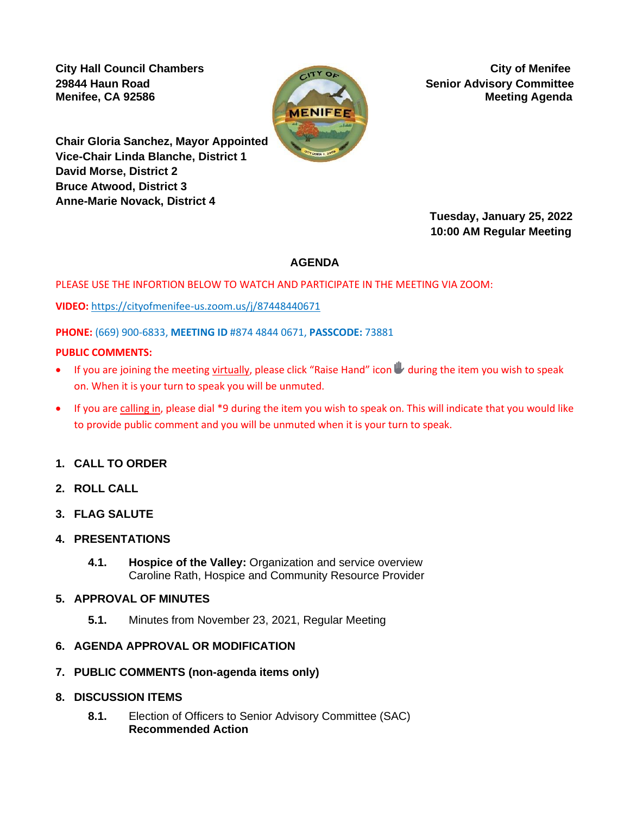**City Hall Council Chambers** City of Menifee



**29844 Haun Road Senior Advisory Committee Menifee, CA 92586 Meeting Agenda** *Meeting Agenda**Meeting Agenda* 

**Chair Gloria Sanchez, Mayor Appointed Vice-Chair Linda Blanche, District 1 David Morse, District 2 Bruce Atwood, District 3 Anne-Marie Novack, District 4** 

 **Tuesday, January 25, 2022 10:00 AM Regular Meeting**

## **AGENDA**

PLEASE USE THE INFORTION BELOW TO WATCH AND PARTICIPATE IN THE MEETING VIA ZOOM:

**VIDEO:** [https://cityofmenifee-us.zoom.us/j/87448440671](https://cityofmenifee-us.zoom.us/j/87448440671?pwd=RUxqOW5WK2lPZnBpRUlWamFNTmMrQT09)

**PHONE:** (669) 900-6833, **MEETING ID** #874 4844 0671, **PASSCODE:** 73881

### **PUBLIC COMMENTS:**

- If you are joining the meeting virtually, please click "Raise Hand" icon  $\blacktriangleright$  during the item you wish to speak on. When it is your turn to speak you will be unmuted.
- If you are calling in, please dial \*9 during the item you wish to speak on. This will indicate that you would like to provide public comment and you will be unmuted when it is your turn to speak.

## **1. CALL TO ORDER**

- **2. ROLL CALL**
- **3. FLAG SALUTE**
- **4. PRESENTATIONS**
	- **4.1. Hospice of the Valley:** Organization and service overview Caroline Rath, Hospice and Community Resource Provider

### **5. APPROVAL OF MINUTES**

**5.1.** Minutes from November 23, 2021, Regular Meeting

## **6. AGENDA APPROVAL OR MODIFICATION**

- **7. PUBLIC COMMENTS (non-agenda items only)**
- **8. DISCUSSION ITEMS**
	- **8.1.** Election of Officers to Senior Advisory Committee (SAC) **Recommended Action**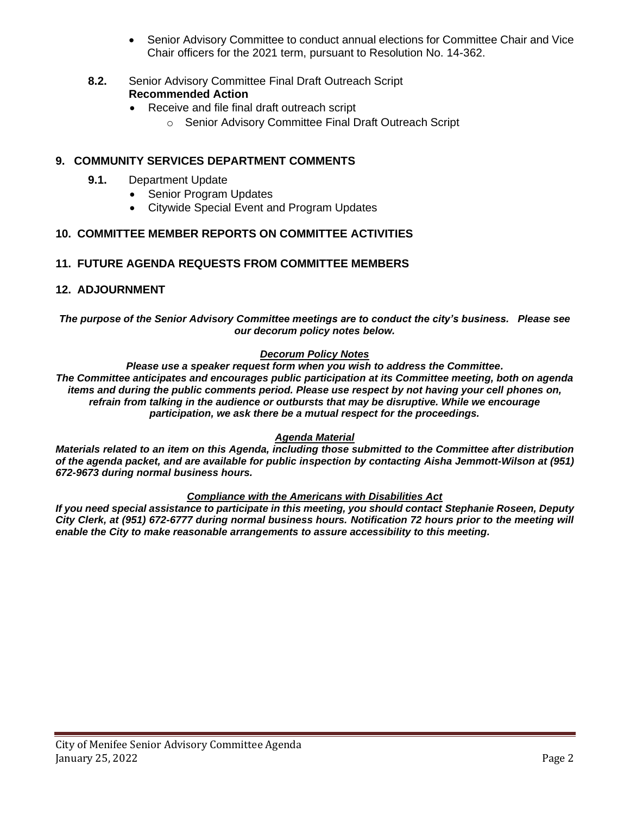- Senior Advisory Committee to conduct annual elections for Committee Chair and Vice Chair officers for the 2021 term, pursuant to Resolution No. 14-362.
- **8.2.** Senior Advisory Committee Final Draft Outreach Script **Recommended Action**
	- Receive and file final draft outreach script
		- o Senior Advisory Committee Final Draft Outreach Script

## **9. COMMUNITY SERVICES DEPARTMENT COMMENTS**

- **9.1.** Department Update
	- Senior Program Updates
	- Citywide Special Event and Program Updates

## **10. COMMITTEE MEMBER REPORTS ON COMMITTEE ACTIVITIES**

### **11. FUTURE AGENDA REQUESTS FROM COMMITTEE MEMBERS**

### **12. ADJOURNMENT**

#### *The purpose of the Senior Advisory Committee meetings are to conduct the city's business. Please see our decorum policy notes below.*

### *Decorum Policy Notes*

*Please use a speaker request form when you wish to address the Committee. The Committee anticipates and encourages public participation at its Committee meeting, both on agenda items and during the public comments period. Please use respect by not having your cell phones on, refrain from talking in the audience or outbursts that may be disruptive. While we encourage participation, we ask there be a mutual respect for the proceedings.*

### *Agenda Material*

*Materials related to an item on this Agenda, including those submitted to the Committee after distribution of the agenda packet, and are available for public inspection by contacting Aisha Jemmott-Wilson at (951) 672-9673 during normal business hours.* 

### *Compliance with the Americans with Disabilities Act*

*If you need special assistance to participate in this meeting, you should contact Stephanie Roseen, Deputy City Clerk, at (951) 672-6777 during normal business hours. Notification 72 hours prior to the meeting will enable the City to make reasonable arrangements to assure accessibility to this meeting.*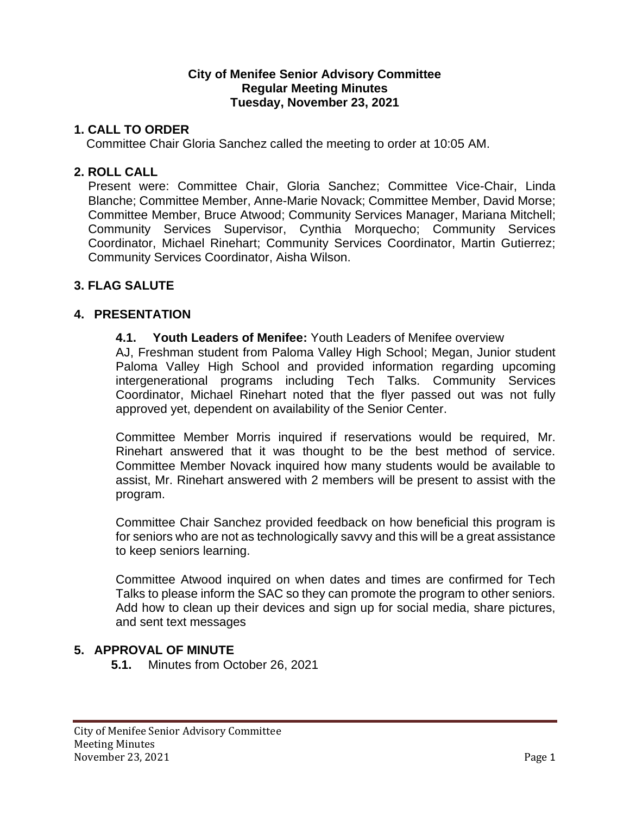## **City of Menifee Senior Advisory Committee Regular Meeting Minutes Tuesday, November 23, 2021**

## **1. CALL TO ORDER**

Committee Chair Gloria Sanchez called the meeting to order at 10:05 AM.

## **2. ROLL CALL**

Present were: Committee Chair, Gloria Sanchez; Committee Vice-Chair, Linda Blanche; Committee Member, Anne-Marie Novack; Committee Member, David Morse; Committee Member, Bruce Atwood; Community Services Manager, Mariana Mitchell; Community Services Supervisor, Cynthia Morquecho; Community Services Coordinator, Michael Rinehart; Community Services Coordinator, Martin Gutierrez; Community Services Coordinator, Aisha Wilson.

## **3. FLAG SALUTE**

## **4. PRESENTATION**

**4.1. Youth Leaders of Menifee:** Youth Leaders of Menifee overview

AJ, Freshman student from Paloma Valley High School; Megan, Junior student Paloma Valley High School and provided information regarding upcoming intergenerational programs including Tech Talks. Community Services Coordinator, Michael Rinehart noted that the flyer passed out was not fully approved yet, dependent on availability of the Senior Center.

Committee Member Morris inquired if reservations would be required, Mr. Rinehart answered that it was thought to be the best method of service. Committee Member Novack inquired how many students would be available to assist, Mr. Rinehart answered with 2 members will be present to assist with the program.

Committee Chair Sanchez provided feedback on how beneficial this program is for seniors who are not as technologically savvy and this will be a great assistance to keep seniors learning.

Committee Atwood inquired on when dates and times are confirmed for Tech Talks to please inform the SAC so they can promote the program to other seniors. Add how to clean up their devices and sign up for social media, share pictures, and sent text messages

## **5. APPROVAL OF MINUTE**

**5.1.** Minutes from October 26, 2021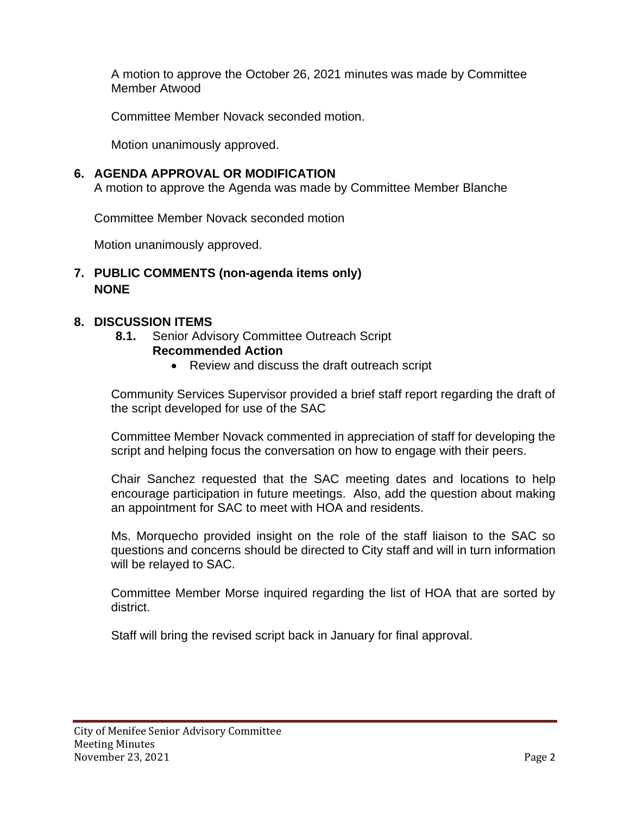A motion to approve the October 26, 2021 minutes was made by Committee Member Atwood

Committee Member Novack seconded motion.

Motion unanimously approved.

# **6. AGENDA APPROVAL OR MODIFICATION**

A motion to approve the Agenda was made by Committee Member Blanche

Committee Member Novack seconded motion

Motion unanimously approved.

# **7. PUBLIC COMMENTS (non-agenda items only) NONE**

# **8. DISCUSSION ITEMS**

**8.1.** Senior Advisory Committee Outreach Script

# **Recommended Action**

• Review and discuss the draft outreach script

Community Services Supervisor provided a brief staff report regarding the draft of the script developed for use of the SAC

Committee Member Novack commented in appreciation of staff for developing the script and helping focus the conversation on how to engage with their peers.

Chair Sanchez requested that the SAC meeting dates and locations to help encourage participation in future meetings. Also, add the question about making an appointment for SAC to meet with HOA and residents.

Ms. Morquecho provided insight on the role of the staff liaison to the SAC so questions and concerns should be directed to City staff and will in turn information will be relayed to SAC.

Committee Member Morse inquired regarding the list of HOA that are sorted by district.

Staff will bring the revised script back in January for final approval.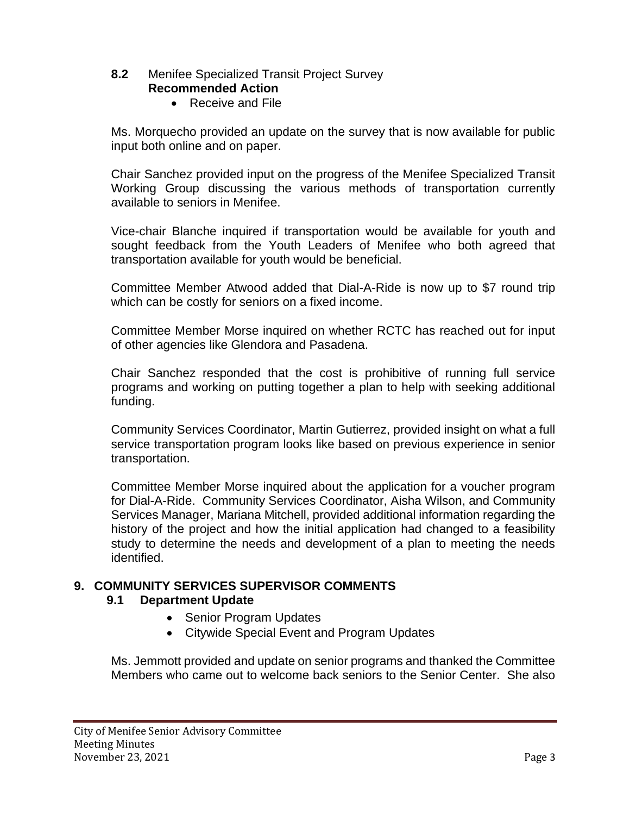### **8.2** Menifee Specialized Transit Project Survey **Recommended Action**

• Receive and File

Ms. Morquecho provided an update on the survey that is now available for public input both online and on paper.

Chair Sanchez provided input on the progress of the Menifee Specialized Transit Working Group discussing the various methods of transportation currently available to seniors in Menifee.

Vice-chair Blanche inquired if transportation would be available for youth and sought feedback from the Youth Leaders of Menifee who both agreed that transportation available for youth would be beneficial.

Committee Member Atwood added that Dial-A-Ride is now up to \$7 round trip which can be costly for seniors on a fixed income.

Committee Member Morse inquired on whether RCTC has reached out for input of other agencies like Glendora and Pasadena.

Chair Sanchez responded that the cost is prohibitive of running full service programs and working on putting together a plan to help with seeking additional funding.

Community Services Coordinator, Martin Gutierrez, provided insight on what a full service transportation program looks like based on previous experience in senior transportation.

Committee Member Morse inquired about the application for a voucher program for Dial-A-Ride. Community Services Coordinator, Aisha Wilson, and Community Services Manager, Mariana Mitchell, provided additional information regarding the history of the project and how the initial application had changed to a feasibility study to determine the needs and development of a plan to meeting the needs identified.

# **9. COMMUNITY SERVICES SUPERVISOR COMMENTS**

## **9.1 Department Update**

- Senior Program Updates
- Citywide Special Event and Program Updates

Ms. Jemmott provided and update on senior programs and thanked the Committee Members who came out to welcome back seniors to the Senior Center. She also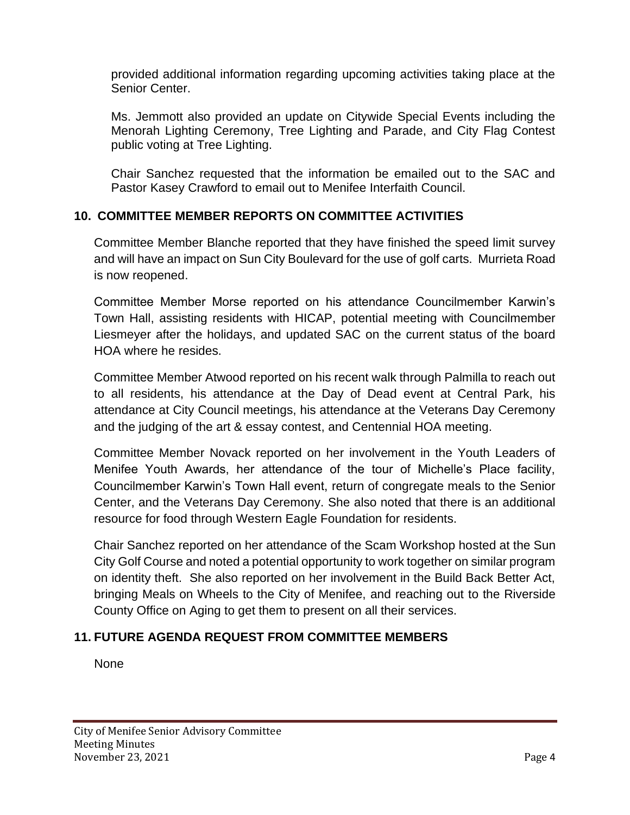provided additional information regarding upcoming activities taking place at the Senior Center.

Ms. Jemmott also provided an update on Citywide Special Events including the Menorah Lighting Ceremony, Tree Lighting and Parade, and City Flag Contest public voting at Tree Lighting.

Chair Sanchez requested that the information be emailed out to the SAC and Pastor Kasey Crawford to email out to Menifee Interfaith Council.

# **10. COMMITTEE MEMBER REPORTS ON COMMITTEE ACTIVITIES**

Committee Member Blanche reported that they have finished the speed limit survey and will have an impact on Sun City Boulevard for the use of golf carts. Murrieta Road is now reopened.

Committee Member Morse reported on his attendance Councilmember Karwin's Town Hall, assisting residents with HICAP, potential meeting with Councilmember Liesmeyer after the holidays, and updated SAC on the current status of the board HOA where he resides.

Committee Member Atwood reported on his recent walk through Palmilla to reach out to all residents, his attendance at the Day of Dead event at Central Park, his attendance at City Council meetings, his attendance at the Veterans Day Ceremony and the judging of the art & essay contest, and Centennial HOA meeting.

Committee Member Novack reported on her involvement in the Youth Leaders of Menifee Youth Awards, her attendance of the tour of Michelle's Place facility, Councilmember Karwin's Town Hall event, return of congregate meals to the Senior Center, and the Veterans Day Ceremony. She also noted that there is an additional resource for food through Western Eagle Foundation for residents.

Chair Sanchez reported on her attendance of the Scam Workshop hosted at the Sun City Golf Course and noted a potential opportunity to work together on similar program on identity theft. She also reported on her involvement in the Build Back Better Act, bringing Meals on Wheels to the City of Menifee, and reaching out to the Riverside County Office on Aging to get them to present on all their services.

# **11. FUTURE AGENDA REQUEST FROM COMMITTEE MEMBERS**

None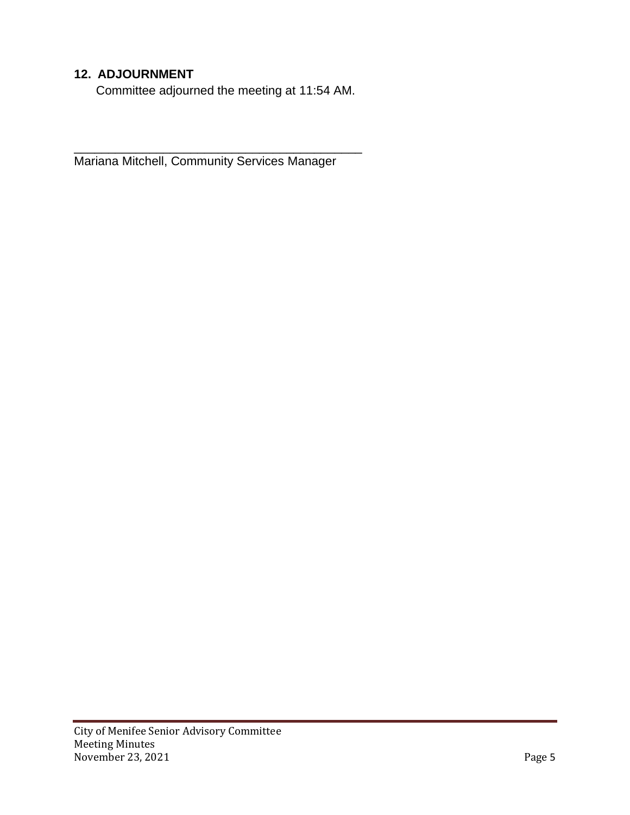# **12. ADJOURNMENT**

Committee adjourned the meeting at 11:54 AM.

Mariana Mitchell, Community Services Manager

\_\_\_\_\_\_\_\_\_\_\_\_\_\_\_\_\_\_\_\_\_\_\_\_\_\_\_\_\_\_\_\_\_\_\_\_\_\_\_\_\_\_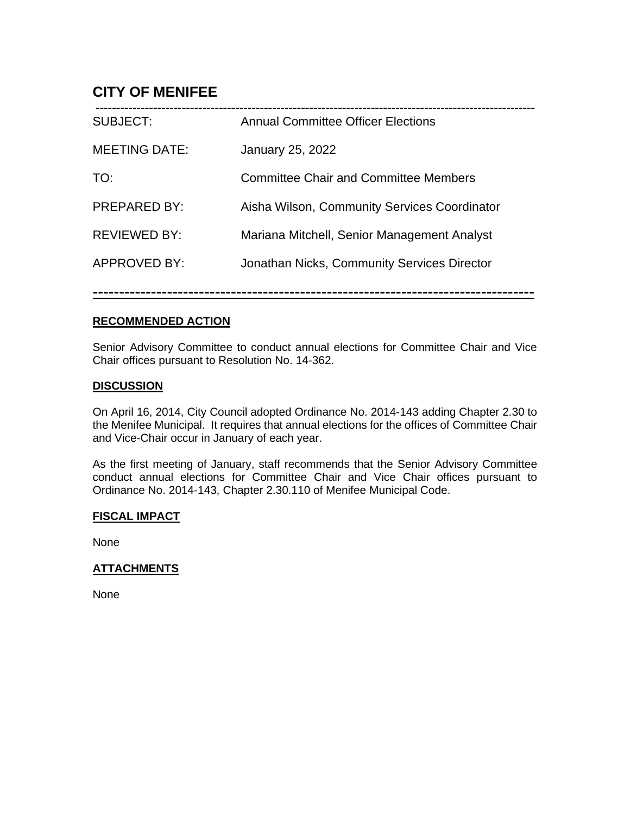# **CITY OF MENIFEE**

| <b>SUBJECT:</b>      | <b>Annual Committee Officer Elections</b>    |
|----------------------|----------------------------------------------|
| <b>MEETING DATE:</b> | January 25, 2022                             |
| TO:                  | <b>Committee Chair and Committee Members</b> |
| <b>PREPARED BY:</b>  | Aisha Wilson, Community Services Coordinator |
| <b>REVIEWED BY:</b>  | Mariana Mitchell, Senior Management Analyst  |
| APPROVED BY:         | Jonathan Nicks, Community Services Director  |
|                      |                                              |

**-----------------------------------------------------------------------------------**

### **RECOMMENDED ACTION**

Senior Advisory Committee to conduct annual elections for Committee Chair and Vice Chair offices pursuant to Resolution No. 14-362.

### **DISCUSSION**

On April 16, 2014, City Council adopted Ordinance No. 2014-143 adding Chapter 2.30 to the Menifee Municipal. It requires that annual elections for the offices of Committee Chair and Vice-Chair occur in January of each year.

As the first meeting of January, staff recommends that the Senior Advisory Committee conduct annual elections for Committee Chair and Vice Chair offices pursuant to Ordinance No. 2014-143, Chapter 2.30.110 of Menifee Municipal Code.

### **FISCAL IMPACT**

None

## **ATTACHMENTS**

None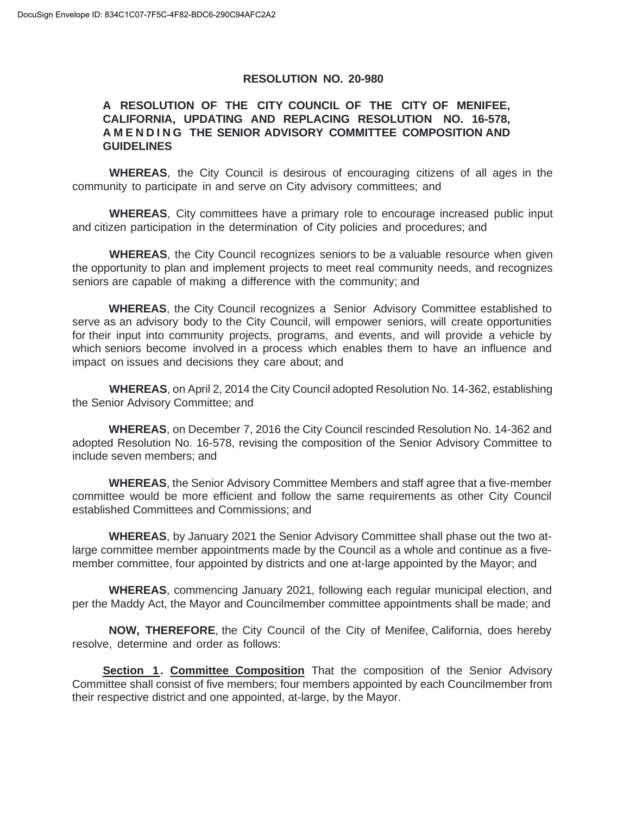### **RESOLUTION NO. 20-980**

### **A RESOLUTION OF THE CITY COUNCIL OF THE CITY OF MENIFEE, CALIFORNIA, UPDATING AND REPLACING RESOLUTION NO. 16-578, A M E N D I N G THE SENIOR ADVISORY COMMITTEE COMPOSITION AND GUIDELINES**

**WHEREAS**, the City Council is desirous of encouraging citizens of all ages in the community to participate in and serve on City advisory committees; and

**WHEREAS**, City committees have a primary role to encourage increased public input and citizen participation in the determination of City policies and procedures; and

**WHEREAS**, the City Council recognizes seniors to be a valuable resource when given the opportunity to plan and implement projects to meet real community needs, and recognizes seniors are capable of making a difference with the community; and

**WHEREAS**, the City Council recognizes a Senior Advisory Committee established to serve as an advisory body to the City Council, will empower seniors, will create opportunities for their input into community projects, programs, and events, and will provide a vehicle by which seniors become involved in a process which enables them to have an influence and impact on issues and decisions they care about; and

**WHEREAS**, on April 2, 2014 the City Council adopted Resolution No. 14-362, establishing the Senior Advisory Committee; and

**WHEREAS**, on December 7, 2016 the City Council rescinded Resolution No. 14-362 and adopted Resolution No. 16-578, revising the composition of the Senior Advisory Committee to include seven members; and

**WHEREAS**, the Senior Advisory Committee Members and staff agree that a five-member committee would be more efficient and follow the same requirements as other City Council established Committees and Commissions; and

**WHEREAS**, by January 2021 the Senior Advisory Committee shall phase out the two atlarge committee member appointments made by the Council as a whole and continue as a fivemember committee, four appointed by districts and one at-large appointed by the Mayor; and

**WHEREAS**, commencing January 2021, following each regular municipal election, and per the Maddy Act, the Mayor and Councilmember committee appointments shall be made; and

**NOW, THEREFORE**, the City Council of the City of Menifee, California, does hereby resolve, determine and order as follows:

**Section 1. Committee Composition** That the composition of the Senior Advisory Committee shall consist of five members; four members appointed by each Councilmember from their respective district and one appointed, at-large, by the Mayor.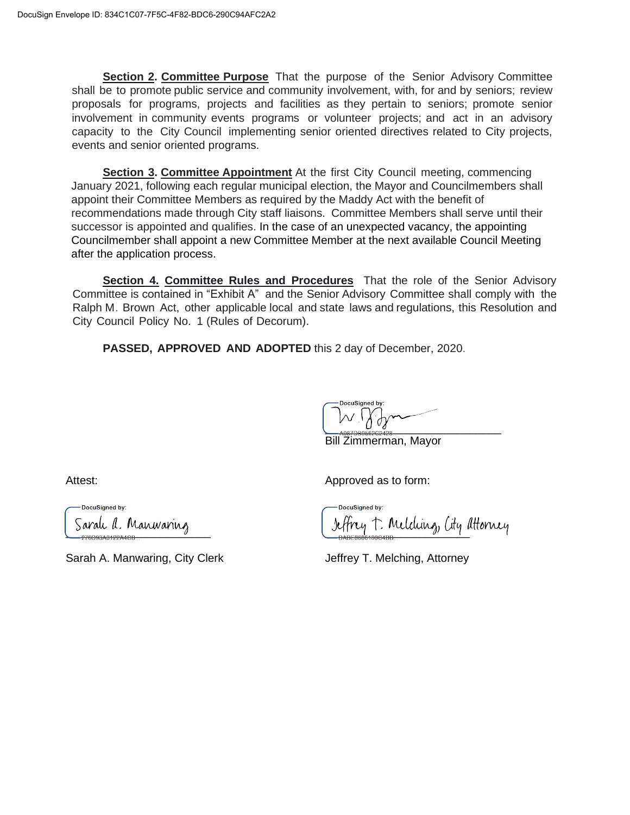**Section 2. Committee Purpose** That the purpose of the Senior Advisory Committee shall be to promote public service and community involvement, with, for and by seniors; review proposals for programs, projects and facilities as they pertain to seniors; promote senior involvement in community events programs or volunteer projects; and act in an advisory capacity to the City Council implementing senior oriented directives related to City projects, events and senior oriented programs.

**Section 3. Committee Appointment** At the first City Council meeting, commencing January 2021, following each regular municipal election, the Mayor and Councilmembers shall appoint their Committee Members as required by the Maddy Act with the benefit of recommendations made through City staff liaisons. Committee Members shall serve until their successor is appointed and qualifies. In the case of an unexpected vacancy, the appointing Councilmember shall appoint a new Committee Member at the next available Council Meeting after the application process.

**Section 4. Committee Rules and Procedures** That the role of the Senior Advisory Committee is contained in "Exhibit A" and the Senior Advisory Committee shall comply with the Ralph M. Brown Act, other applicable local and state laws and regulations, this Resolution and City Council Policy No. 1 (Rules of Decorum).

**PASSED, APPROVED AND ADOPTED** this 2 day of December, 2020.

 $U^{V}$ 

Bill Zimmerman, Mayor

DocuSianed by:

Sarah A. Manwaring, City Clerk **Jeffrey T. Melching, Attorney** 

Attest: Attest: Attest: Approved as to form:

DocuSianed by: \_\_\_\_\_\_\_\_\_\_\_\_\_\_\_\_\_\_\_\_\_\_\_ \_\_\_\_\_\_\_\_\_\_\_\_\_\_\_\_\_\_\_\_\_\_\_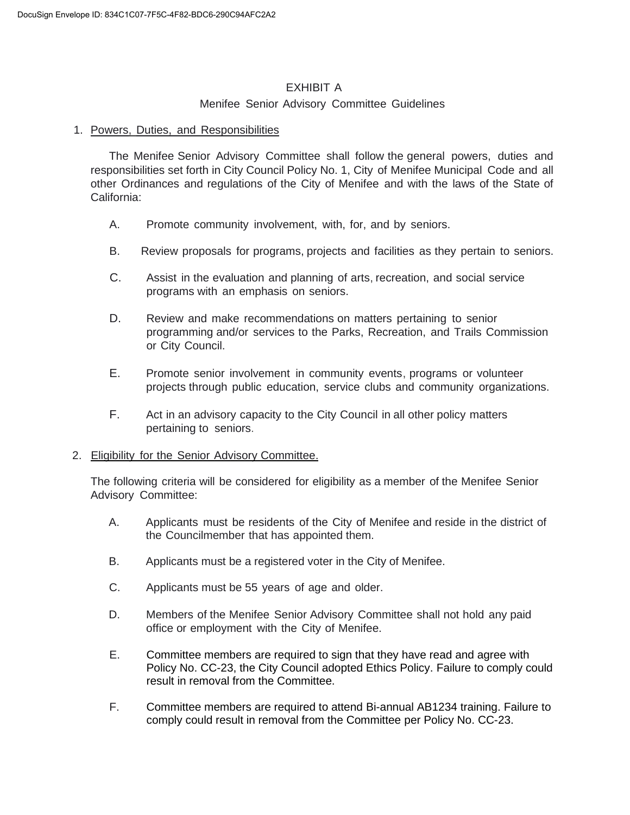## EXHIBIT A

### Menifee Senior Advisory Committee Guidelines

### 1. Powers, Duties, and Responsibilities

The Menifee Senior Advisory Committee shall follow the general powers, duties and responsibilities set forth in City Council Policy No. 1, City of Menifee Municipal Code and all other Ordinances and regulations of the City of Menifee and with the laws of the State of California:

- A. Promote community involvement, with, for, and by seniors.
- B. Review proposals for programs, projects and facilities as they pertain to seniors.
- C. Assist in the evaluation and planning of arts, recreation, and social service programs with an emphasis on seniors.
- D. Review and make recommendations on matters pertaining to senior programming and/or services to the Parks, Recreation, and Trails Commission or City Council.
- E. Promote senior involvement in community events, programs or volunteer projects through public education, service clubs and community organizations.
- F. Act in an advisory capacity to the City Council in all other policy matters pertaining to seniors.

### 2. Eligibility for the Senior Advisory Committee.

The following criteria will be considered for eligibility as a member of the Menifee Senior Advisory Committee:

- A. Applicants must be residents of the City of Menifee and reside in the district of the Councilmember that has appointed them.
- B. Applicants must be a registered voter in the City of Menifee.
- C. Applicants must be 55 years of age and older.
- D. Members of the Menifee Senior Advisory Committee shall not hold any paid office or employment with the City of Menifee.
- E. Committee members are required to sign that they have read and agree with Policy No. CC-23, the City Council adopted Ethics Policy. Failure to comply could result in removal from the Committee.
- F. Committee members are required to attend Bi-annual AB1234 training. Failure to comply could result in removal from the Committee per Policy No. CC-23.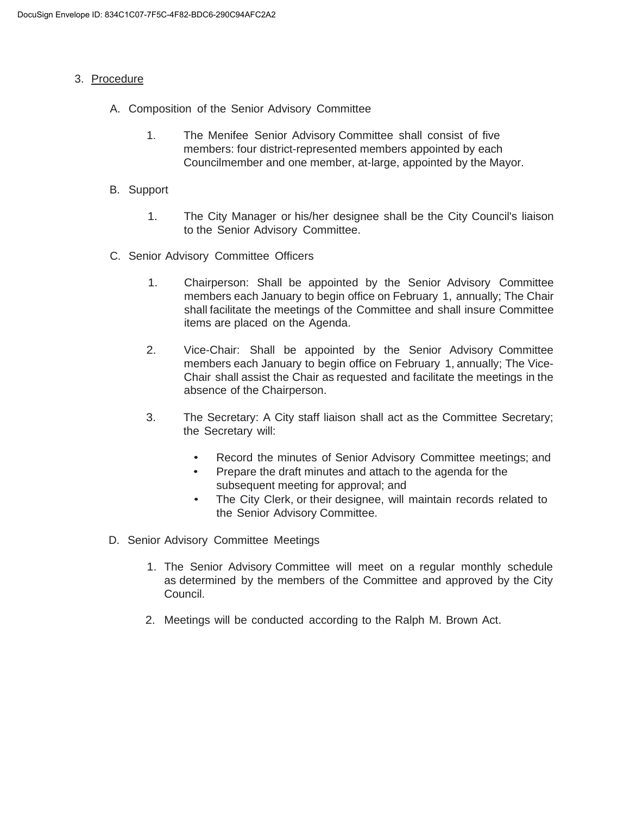### 3. Procedure

- A. Composition of the Senior Advisory Committee
	- 1. The Menifee Senior Advisory Committee shall consist of five members: four district-represented members appointed by each Councilmember and one member, at-large, appointed by the Mayor.
- B. Support
	- 1. The City Manager or his/her designee shall be the City Council's liaison to the Senior Advisory Committee.
- C. Senior Advisory Committee Officers
	- 1. Chairperson: Shall be appointed by the Senior Advisory Committee members each January to begin office on February 1, annually; The Chair shall facilitate the meetings of the Committee and shall insure Committee items are placed on the Agenda.
	- 2. Vice-Chair: Shall be appointed by the Senior Advisory Committee members each January to begin office on February 1, annually; The Vice-Chair shall assist the Chair as requested and facilitate the meetings in the absence of the Chairperson.
	- 3. The Secretary: A City staff liaison shall act as the Committee Secretary; the Secretary will:
		- Record the minutes of Senior Advisory Committee meetings; and
		- Prepare the draft minutes and attach to the agenda for the subsequent meeting for approval; and
		- The City Clerk, or their designee, will maintain records related to the Senior Advisory Committee.
- D. Senior Advisory Committee Meetings
	- 1. The Senior Advisory Committee will meet on a regular monthly schedule as determined by the members of the Committee and approved by the City Council.
	- 2. Meetings will be conducted according to the Ralph M. Brown Act.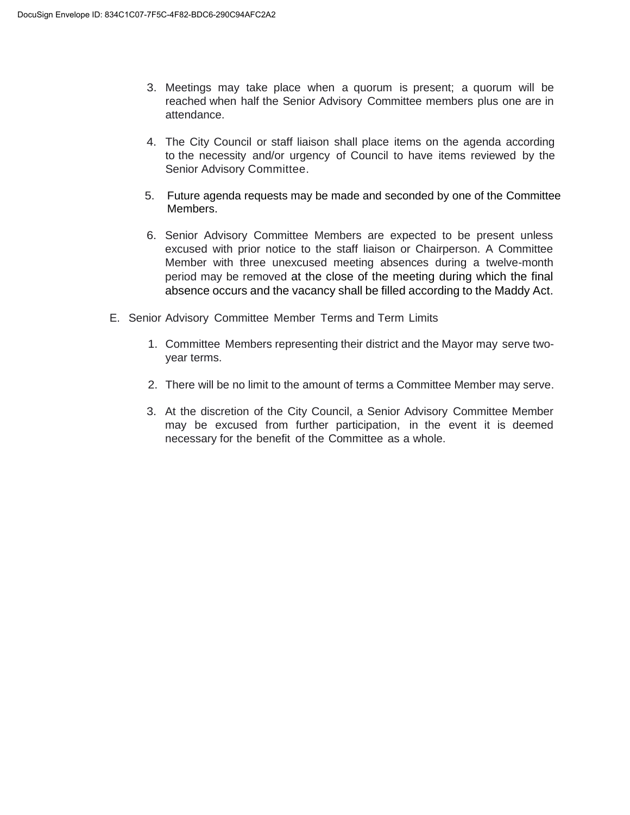- 3. Meetings may take place when a quorum is present; a quorum will be reached when half the Senior Advisory Committee members plus one are in attendance.
- 4. The City Council or staff liaison shall place items on the agenda according to the necessity and/or urgency of Council to have items reviewed by the Senior Advisory Committee.
- 5. Future agenda requests may be made and seconded by one of the Committee Members.
- 6. Senior Advisory Committee Members are expected to be present unless excused with prior notice to the staff liaison or Chairperson. A Committee Member with three unexcused meeting absences during a twelve-month period may be removed at the close of the meeting during which the final absence occurs and the vacancy shall be filled according to the Maddy Act.
- E. Senior Advisory Committee Member Terms and Term Limits
	- 1. Committee Members representing their district and the Mayor may serve twoyear terms.
	- 2. There will be no limit to the amount of terms a Committee Member may serve.
	- 3. At the discretion of the City Council, a Senior Advisory Committee Member may be excused from further participation, in the event it is deemed necessary for the benefit of the Committee as a whole.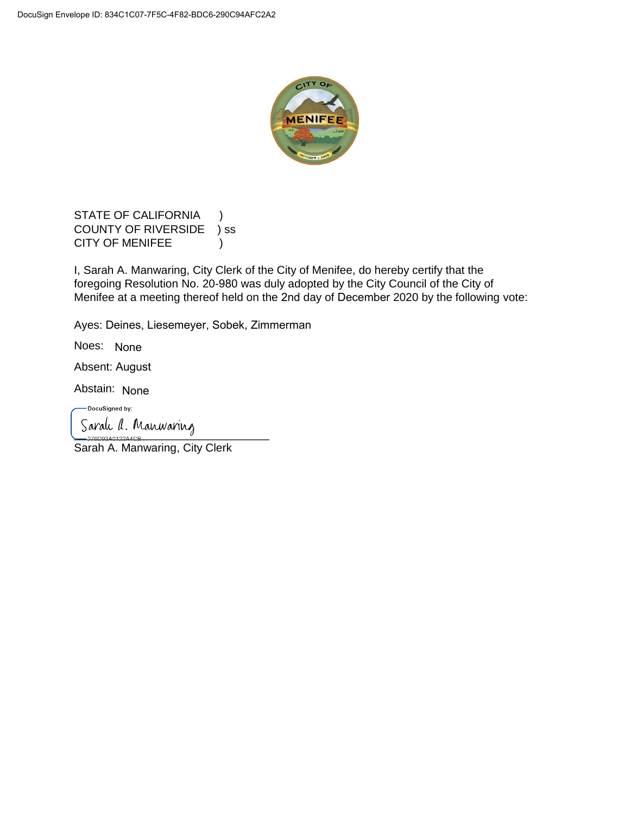

STATE OF CALIFORNIA ) COUNTY OF RIVERSIDE ) ss CITY OF MENIFEE )

I, Sarah A. Manwaring, City Clerk of the City of Menifee, do hereby certify that the foregoing Resolution No. 20-980 was duly adopted by the City Council of the City of Menifee at a meeting thereof held on the 2nd day of December 2020 by the following vote:

Ayes: Deines, Liesemeyer, Sobek, Zimmerman

Noes: None

Absent: August

Abstain: None

-DocuSigned by:

Saralı d. Manwaring

Sarah A. Manwaring, City Clerk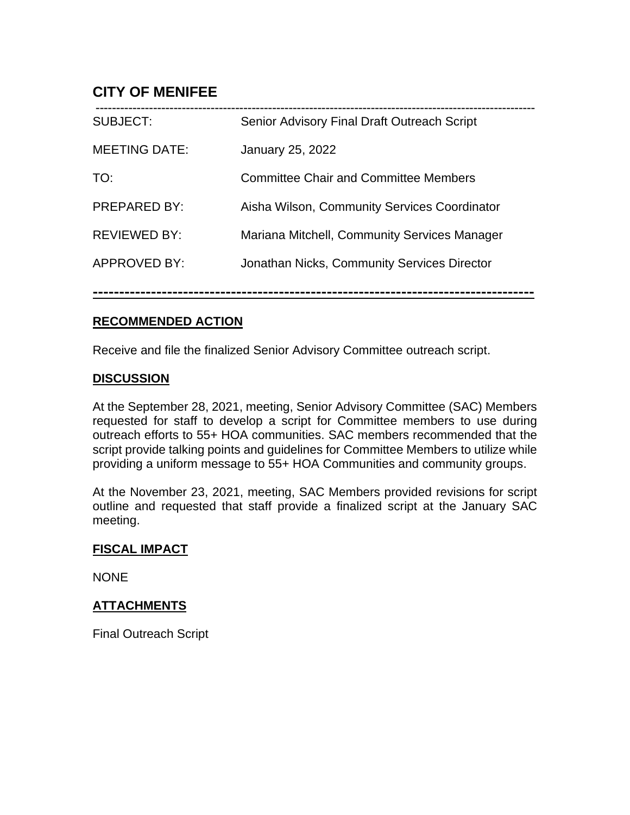# **CITY OF MENIFEE**

| <b>SUBJECT:</b>      | Senior Advisory Final Draft Outreach Script  |
|----------------------|----------------------------------------------|
| <b>MEETING DATE:</b> | <b>January 25, 2022</b>                      |
| TO:                  | <b>Committee Chair and Committee Members</b> |
| <b>PREPARED BY:</b>  | Aisha Wilson, Community Services Coordinator |
| <b>REVIEWED BY:</b>  | Mariana Mitchell, Community Services Manager |
| <b>APPROVED BY:</b>  | Jonathan Nicks, Community Services Director  |
|                      |                                              |

## **RECOMMENDED ACTION**

Receive and file the finalized Senior Advisory Committee outreach script.

## **DISCUSSION**

At the September 28, 2021, meeting, Senior Advisory Committee (SAC) Members requested for staff to develop a script for Committee members to use during outreach efforts to 55+ HOA communities. SAC members recommended that the script provide talking points and guidelines for Committee Members to utilize while providing a uniform message to 55+ HOA Communities and community groups.

At the November 23, 2021, meeting, SAC Members provided revisions for script outline and requested that staff provide a finalized script at the January SAC meeting.

## **FISCAL IMPACT**

NONE

## **ATTACHMENTS**

Final Outreach Script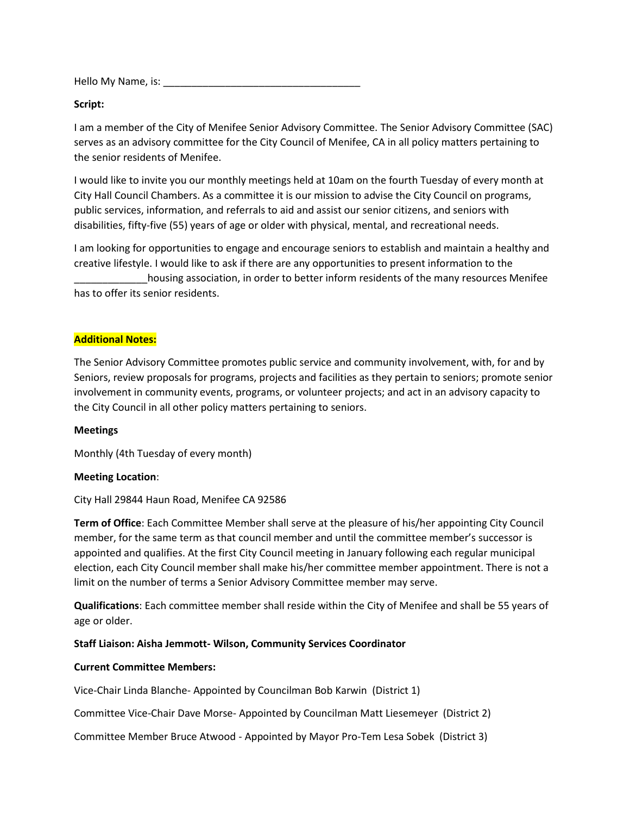Hello My Name, is: \_\_\_\_\_\_\_\_\_\_\_\_\_\_\_\_\_\_\_\_\_\_\_\_\_\_\_\_\_\_\_\_\_\_\_

### **Script:**

I am a member of the City of Menifee Senior Advisory Committee. The Senior Advisory Committee (SAC) serves as an advisory committee for the City Council of Menifee, CA in all policy matters pertaining to the senior residents of Menifee.

I would like to invite you our monthly meetings held at 10am on the fourth Tuesday of every month at City Hall Council Chambers. As a committee it is our mission to advise the City Council on programs, public services, information, and referrals to aid and assist our senior citizens, and seniors with disabilities, fifty-five (55) years of age or older with physical, mental, and recreational needs.

I am looking for opportunities to engage and encourage seniors to establish and maintain a healthy and creative lifestyle. I would like to ask if there are any opportunities to present information to the housing association, in order to better inform residents of the many resources Menifee has to offer its senior residents.

### **Additional Notes:**

The Senior Advisory Committee promotes public service and community involvement, with, for and by Seniors, review proposals for programs, projects and facilities as they pertain to seniors; promote senior involvement in community events, programs, or volunteer projects; and act in an advisory capacity to the City Council in all other policy matters pertaining to seniors.

### **Meetings**

Monthly (4th Tuesday of every month)

### **Meeting Location**:

City Hall 29844 Haun Road, Menifee CA 92586

**Term of Office**: Each Committee Member shall serve at the pleasure of his/her appointing City Council member, for the same term as that council member and until the committee member's successor is appointed and qualifies. At the first City Council meeting in January following each regular municipal election, each City Council member shall make his/her committee member appointment. There is not a limit on the number of terms a Senior Advisory Committee member may serve.

**Qualifications**: Each committee member shall reside within the City of Menifee and shall be 55 years of age or older.

### **Staff Liaison: Aisha Jemmott- Wilson, Community Services Coordinator**

### **Current Committee Members:**

Vice-Chair Linda Blanche- Appointed by Councilman Bob Karwin (District 1)

Committee Vice-Chair Dave Morse- Appointed by Councilman Matt Liesemeyer (District 2)

Committee Member Bruce Atwood - Appointed by Mayor Pro-Tem Lesa Sobek (District 3)